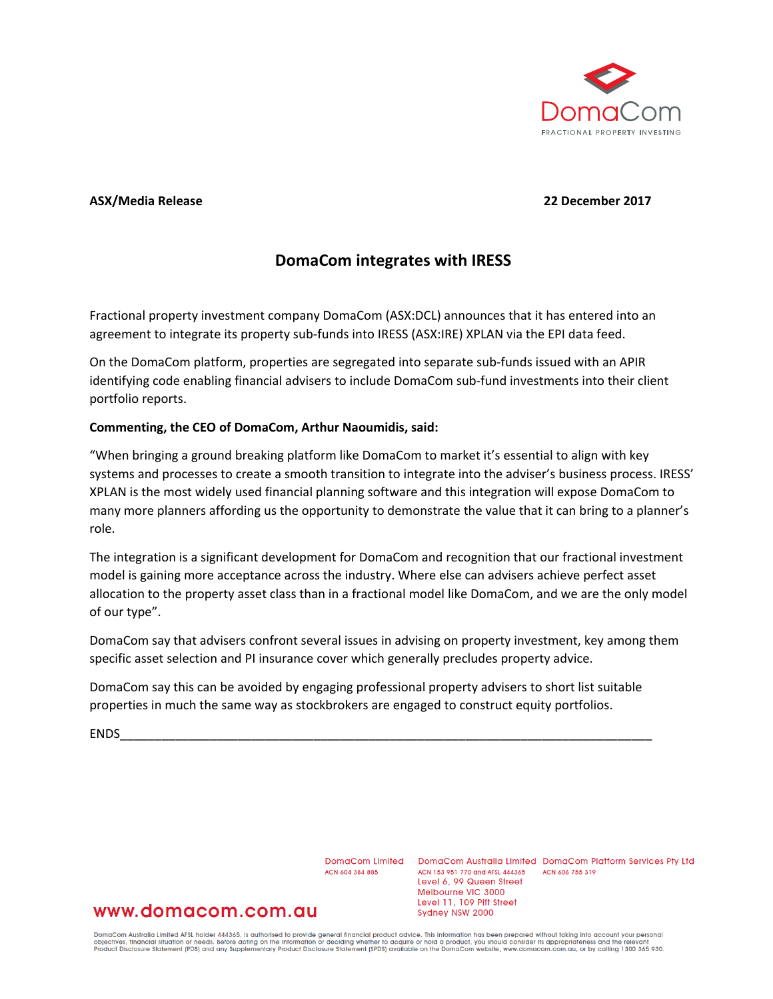

### **ASX/Media Release 22 December 2017**

# **DomaCom integrates with IRESS**

Fractional property investment company DomaCom (ASX:DCL) announces that it has entered into an agreement to integrate its property sub-funds into IRESS (ASX:IRE) XPLAN via the EPI data feed.

On the DomaCom platform, properties are segregated into separate sub-funds issued with an APIR identifying code enabling financial advisers to include DomaCom sub-fund investments into their client portfolio reports.

#### **Commenting, the CEO of DomaCom, Arthur Naoumidis, said:**

"When bringing a ground breaking platform like DomaCom to market it's essential to align with key systems and processes to create a smooth transition to integrate into the adviser's business process. IRESS' XPLAN is the most widely used financial planning software and this integration will expose DomaCom to many more planners affording us the opportunity to demonstrate the value that it can bring to a planner's role.

The integration is a significant development for DomaCom and recognition that our fractional investment model is gaining more acceptance across the industry. Where else can advisers achieve perfect asset allocation to the property asset class than in a fractional model like DomaCom, and we are the only model of our type".

DomaCom say that advisers confront several issues in advising on property investment, key among them specific asset selection and PI insurance cover which generally precludes property advice.

DomaCom say this can be avoided by engaging professional property advisers to short list suitable properties in much the same way as stockbrokers are engaged to construct equity portfolios.

ENDS\_\_\_\_\_\_\_\_\_\_\_\_\_\_\_\_\_\_\_\_\_\_\_\_\_\_\_\_\_\_\_\_\_\_\_\_\_\_\_\_\_\_\_\_\_\_\_\_\_\_\_\_\_\_\_\_\_\_\_\_\_\_\_\_\_\_\_\_\_\_\_\_\_\_\_\_\_

ACN 604 384 885

DomaCom Limited DomaCom Australia Limited DomaCom Platform Services Pty Ltd ACN 153 951 770 and AFSL 444365 ACN 606 755 319 Level 6, 99 Queen Street Melbourne VIC 3000 Level 11, 109 Pitt Street Sydney NSW 2000

## www.domacom.com.au

DomaCom Australia Limited AFSL holder 444365, is authorised to provide general financial product advice. This information has been prepared without taking into account your personal<br>objectives, financial situation or needs